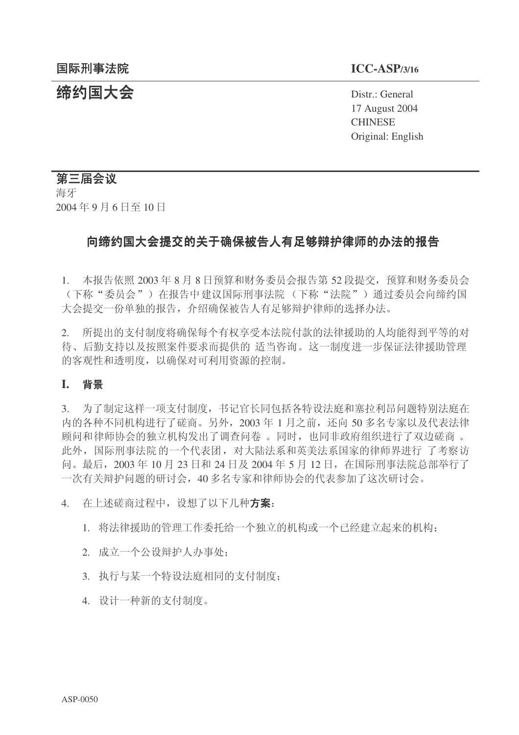**缔约国大会** Distr.: General 17 August 2004 **CHINESE** Original: English

# 第三届会议

海牙 2004年9月6日至10日

# 向缔约国大会提交的关于确保被告人有足够辩护律师的办法的报告

1. 本报告依照 2003年8月8日预算和财务委员会报告第 52 段提交, 预算和财务委员会 (下称"委员会")在报告中建议国际刑事法院(下称"法院")通过委员会向缔约国 大会提交一份单独的报告, 介绍确保被告人有足够辩护律师的选择办法。

2. 所提出的支付制度将确保每个有权享受本法院付款的法律援助的人均能得到平等的对 待、后勤支持以及按照案件要求而提供的 适当咨询。这一制度进一步保证法律援助管理 的客观性和透明度, 以确保对可利用资源的控制。

# **I.** 㚠᱃

3. 为了制定这样一项支付制度, 书记官长同包括各特设法庭和塞拉利昂问题特别法庭在 内的各种不同机构进行了磋商。另外, 2003年 1 月之前, 还向 50 多名专家以及代表法律 顾问和律师协会的独立机构发出了调查问卷。同时, 也同非政府组织进行了双边磋商。 此外, 国际刑事法院 的一个代表团, 对大陆法系和英美法系国家的律师界进行 了考察访 问。最后, 2003年10月23日和24日及2004年5月12日, 在国际刑事法院总部举行了 一次有关辩护问题的研讨会, 40 多名专家和律师协会的代表参加了这次研讨会。

- 4. 在上述磋商过程中, 设想了以下几种方案:
	- 1. 将法律援助的管理工作委托给一个独立的机构或一个已经建立起来的机构;
	- 2. 成立一个公设辩护人办事处:
	- 3. 执行与某一个特设法庭相同的支付制度:
	- 4. 设计一种新的支付制度。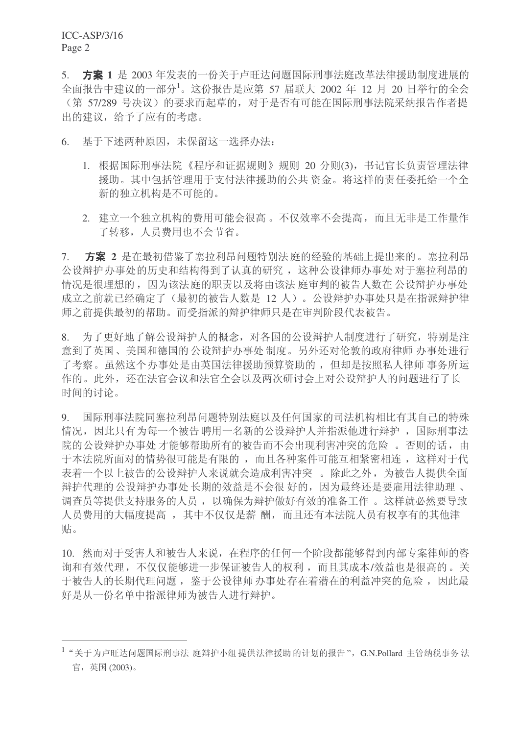5. 方案 1 是 2003 年发表的一份关于卢旺达问题国际刑事法庭改革法律援助制度进展的 全面报告中建议的一部分1。这份报告是应第 57 届联大 2002 年 12 月 20 日举行的全会 ○第 57/289 号决议)的要求而起草的,对于是否有可能在国际刑事法院采纳报告作者提 出的建议,给予了应有的考虑。

6. 基于下述两种原因,未保留这一选择办法:

- 1. 根据国际刑事法院《程序和证据规则》规则 20 分则(3), 书记官长负责管理法律 援助。其中包括管理用于支付法律援助的公共资金。将这样的责任委托给一个全 新的独立机构是不可能的。
- 2. 建立一个独立机构的费用可能会很高。不仅效率不会提高,而且无非是工作量作 了转移, 人员费用也不会节省。

7. 方案 2 是在最初借鉴了塞拉利昂问题特别法庭的经验的基础上提出来的。塞拉利昂 公设辩护办事处的历史和结构得到了认真的研究, 这种公设律师办事处对于塞拉利昂的 情况是很理想的,因为该法庭的职责以及将由该法庭审判的被告人数在公设辩护办事处 成立之前就已经确定了(最初的被告人数是 12 人)。公设辩护办事处只是在指派辩护律 师之前提供最初的帮助。而受指派的辩护律师只是在审判阶段代表被告。

8. 为了更好地了解公设辩护人的概念,对各国的公设辩护人制度进行了研究,特别是注 意到了英国、美国和德国的公设辩护办事处 制度。另外还对伦敦的政府律师办事处讲行 了考察。虽然这个办事处是由英国法律援助预算资助的, 但却是按照私人律师 事务所运 作的。此外,还在法官会议和法官全会以及两次研讨会上对公设辩护人的问题进行了长 时间的讨论。

9. 国际刑事法院同塞拉利昂问题特别法庭以及任何国家的司法机构相比有其自己的特殊 情况,因此只有为每一个被告聘用一名新的公设辩护人并指派他进行辩护,国际刑事法 院的公设辩护办事处才能够帮助所有的被告而不会出现利害冲突的危险。否则的话, 由 于本法院所面对的情势很可能是有限的,而且各种案件可能互相紧密相连,这样对于代 表着一个以上被告的公设辩护人来说就会造成利害冲突。除此之外,为被告人提供全面 辩护代理的 公设辩护办事处 长期的效益是不会很 好的, 因为最终还是要雇用法律助理、 调查员等提供支持服务的人员, 以确保为辩护做好有效的准备工作。这样就必然要导致 人员费用的大幅度提高, 其中不仅仅是薪酬, 而且还有本法院人员有权享有的其他津 贴。

10. 然而对于受害人和被告人来说, 在程序的任何一个阶段都能够得到内部专案律师的咨 询和有效代理, 不仅仅能够进一步保证被告人的权利, 而且其成本/效益也是很高的。关 于被告人的长期代理问题, 鉴于公设律师办事处存在着潜在的利益冲突的危险, 因此最 好是从一份名单中指派律师为被告人进行辩护。

 $^{-1}$  "关于为卢旺达问题国际刑事法 庭辩护小组 提供法律援助 的计划的报告",G.N.Pollard 主管纳税事务 法 官, 英国 (2003)。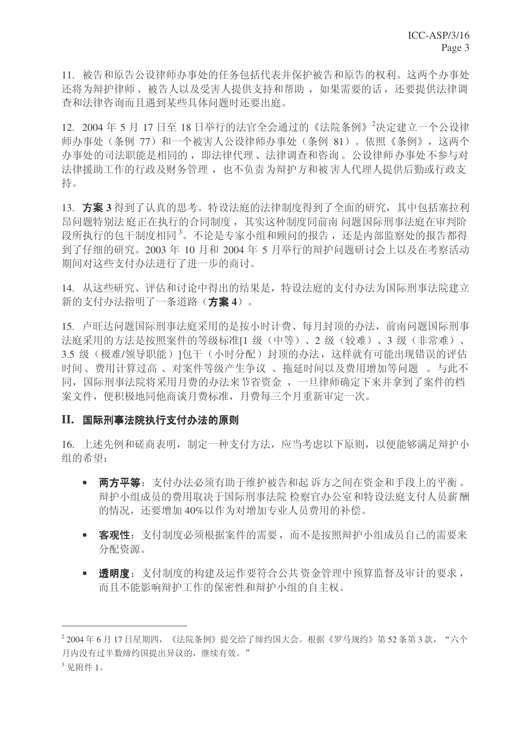11. 被告和原告公设律师办事处的任务包括代表并保护被告和原告的权利。这两个办事处 还将为辩护律师、被告人以及受害人提供支持和帮助, 如果需要的话, 还要提供法律调 杳和法律咨询而且遇到某些具体问题时还要出庭。

12. 2004年5月17日至18日举行的法官全会通过的《法院条例》<sup>2</sup>决定建立一个公设律 师办事处(条例 77) 和一个被害人公设律师办事处(条例 81)。依照《条例》,这两个 办事处的司法职能是相同的, 即法律代理、法律调查和咨询。公设律师办事处不参与对 法律援助工作的行政及财务管理,也不负责为辩护方和被害人代理人提供后勤或行政支 持。

13. 方案 3 得到了认真的思考。特设法庭的法律制度得到了全面的研究, 其中包括塞拉利 昂问题特别法 庭正在执行的合同制度, 其实这种制度同前南 问题国际刑事法庭在审判阶 段所执行的包干制度相同3。不论是专家小组和顾问的报告,还是内部监察处的报告都得 到了仔细的研究。2003年10月和2004年5月举行的辩护问题研讨会上以及在考察活动 期间对这些支付办法进行了进一步的商讨。

14. 从这些研究、评估和讨论中得出的结果是,特设法庭的支付办法为国际刑事法院建立 新的支付办法指明了一条道路(方案4)。

15. 卢旺达问题国际刑事法庭采用的是按小时计费、每月封顶的办法, 前南问题国际刑事 法庭采用的方法是按照案件的等级标准[1 级(中等)、2 级(较难)、3 级(非常难)、 3.5 级(极难/领导职能)1包干(小时分配)封顶的办法,这样就有可能出现错误的评估 时间、费用计算过高、对案件等级产生争议、 拖延时间以及费用增加等问题。与此不 同, 国际刑事法院将采用月费的办法来节省资金, 一旦律师确定下来并拿到了案件的档 案文件, 便积极地同他商谈月费标准, 月费每三个月重新审定一次。

## II. 国际刑事法院执行支付办法的原则

16. 上述先例和磋商表明, 制定一种支付方法, 应当考虑以下原则, 以便能够满足辩护小 组的希望:

- 两方平等: 支付办法必须有助于维护被告和起 诉方之间在资金和手段上的平衡。 辩护小组成员的费用取决于国际刑事法院检察官办公室和特设法庭支付人员薪酬 的情况,还要增加40%以作为对增加专业人员费用的补偿。
- 客观性: 支付制度必须根据案件的需要, 而不是按照辩护小组成员自己的需要来 分配资源。
- 透明度: 支付制度的构建及运作要符合公共资金管理中预算监督及审计的要求, 而且不能影响辩护工作的保密性和辩护小组的自主权。

 $^2$  2004 年 6 月 17 日星期四,《法院条例》提交给了缔约国大会。根据《罗马规约》第 52 条第 3 款,"六个 月内没有过半数缔约国提出异议的,继续有效。"

 $3 \n  $\sqrt{10}$  附件 1.$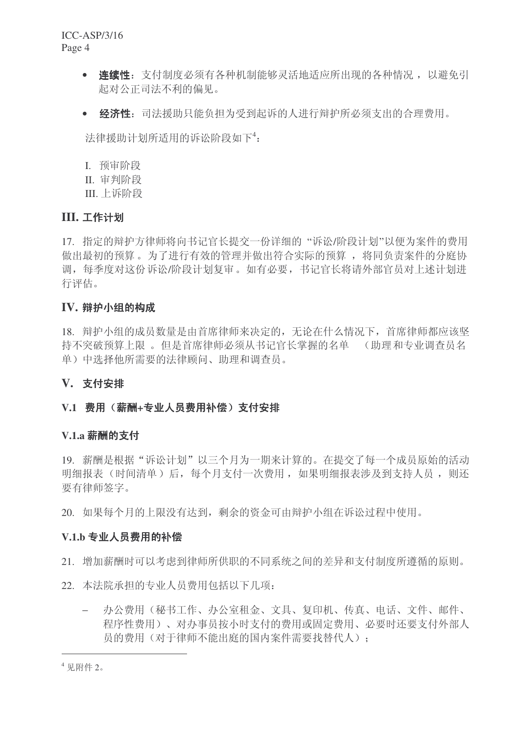ICC-ASP/3/16 Page 4

- 连续性: 支付制度必须有各种机制能够灵活地适应所出现的各种情况, 以避免引 起对公正司法不利的偏见。
- 经济性: 司法援助只能负担为受到起诉的人进行辩护所必须支出的合理费用。

法律援助计划所适用的诉讼阶段如下<sup>4</sup>:

- I. 预审阶段
- II. 审判阶段
- III. 上诉阶段

## **III. 工作计划**

17. 指定的辩护方律师将向书记官长提交一份详细的"诉讼/阶段计划"以便为案件的费用 做出最初的预算。为了进行有效的管理并做出符合实际的预算, 将同负责案件的分庭协 调, 每季度对这份诉讼/阶段计划复审。如有必要, 书记官长将请外部官员对上述计划进 行评估。

## IV. 辩护小组的构成

18. 辩护小组的成员数量是由首席律师来决定的, 无论在什么情况下, 首席律师都应该坚 持不突破预算上限。但是首席律师必须从书记官长掌握的名单 (助理和专业调查员名 单)中选择他所需要的法律顾问、助理和调杳员。

## **V.** 支付安排

## V.1 费用(薪酬+专业人员费用补偿)支付安排

## **V.1.a 薪酬的支付**

19. 薪酬是根据"诉讼计划"以三个月为一期来计算的。在提交了每一个成员原始的活动 明细报表(时间清单)后,每个月支付一次费用,如果明细报表涉及到支持人员,则还 要有律师签字。

20. 如果每个月的上限没有达到,剩余的资金可由辩护小组在诉讼过程中使用。

#### V.1.b 专业人员费用的补偿

- 21. 增加薪酬时可以考虑到律师所供职的不同系统之间的差异和支付制度所遵循的原则。
- 22. 本法院承担的专业人员费用包括以下几项:
	- 办公费用(秘书工作、办公室和金、文具、复印机、传真、电话、文件、邮件、 程序性费用)、对办事员按小时支付的费用或固定费用、必要时还要支付外部人 员的费用(对于律师不能出庭的国内案件需要找替代人):

<sup>4</sup> 见附件 2。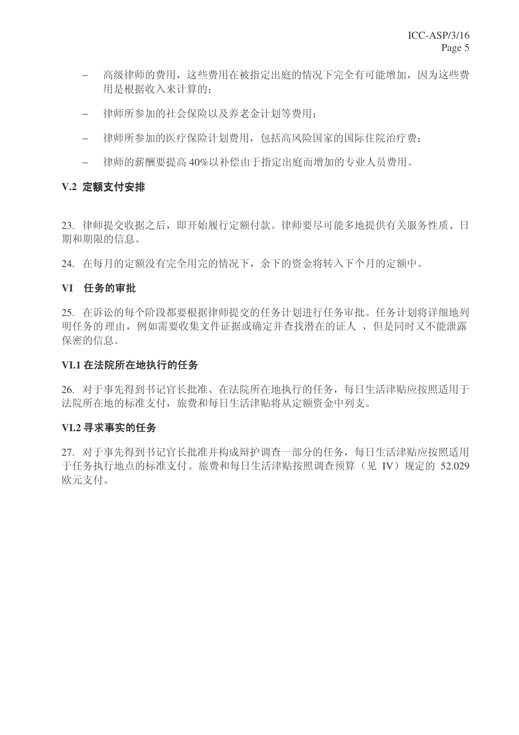- − 高级律师的费用, 这些费用在被指定出庭的情况下完全有可能增加, 因为这些费 用是根据收入来计算的;
- − 律师所参加的社会保险以及养老金计划等费用;
- − 律师所参加的医疗保险计划费用, 包括高风险国家的国际住院治疗费;
- − 律师的薪酬要提高 40%以补偿由于指定出庭而增加的专业人员费用。

## **V.2 定额支付安排**

23. 律师提交收据之后, 即开始履行定额付款。律师要尽可能多地提供有关服务性质、日 期和期限的信息。

24. 在每月的定额没有完全用完的情况下, 余下的资金将转入下个月的定额中。

## **VI 任务的审批**

25. 在诉讼的每个阶段都要根据律师提交的任务计划讲行任务审批。任务计划将详细地列 明任务的理由, 例如需要收集文件证据或确定并杳找潜在的证人, 但是同时又不能泄露 保密的信息。

## VI.1 在法院所在地执行的任务

26. 对于事先得到书记官长批准、在法院所在地执行的任务, 每日生活津贴应按照适用于 法院所在地的标准支付,旅费和每日生活津贴将从定额资金中列支。

## **VI.2 寻求事实的仟务**

27. 对于事先得到书记官长批准并构成辩护调查一部分的任务, 每日生活津贴应按照适用 于任务执行地点的标准支付。旅费和每日生活津贴按照调查预算(见 IV)规定的 52.029 欧元支付。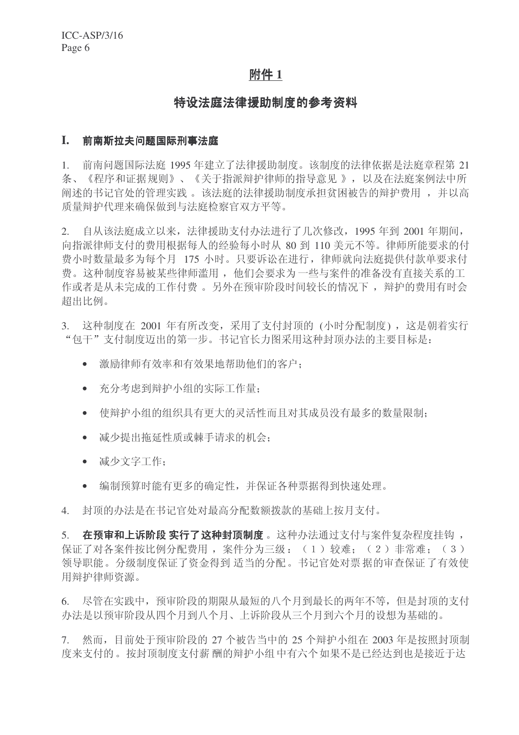## 附件 1

## 特设法庭法律粉制度的参考资料

#### I. 前南斯拉夫问题国际刑事法庭

1. 前南问题国际法庭 1995 年建立了法律援助制度。该制度的法律依据是法庭章程第 21 条、《程序和证据规则》、《关于指派辩护律师的指导意见》,以及在法庭案例法中所 阐述的书记官处的管理实践。该法庭的法律援助制度承担贫困被告的辩护费用,并以高 质量辩护代理来确保做到与法庭检察官双方平等。

2. 自从该法庭成立以来, 法律援助支付办法进行了几次修改, 1995 年到 2001 年期间, 向指派律师支付的费用根据每人的经验每小时从 80 到 110 美元不等。律师所能要求的付 费小时数量最多为每个月 175 小时。只要诉讼在进行, 律师就向法庭提供付款单要求付 费。这种制度容易被某些律师滥用, 他们会要求为一些与案件的准备没有直接关系的工 作或者是从未完成的工作付费。另外在预审阶段时间较长的情况下, 辩护的费用有时会 超出比例。

3. 这种制度在 2001 年有所改变, 采用了支付封顶的 (小时分配制度), 这是朝着实行 "包干"支付制度迈出的第一步。书记官长力图采用这种封顶办法的主要目标是:

- 激励律师有效率和有效果地帮助他们的客户:
- 充分考虑到辩护小组的实际工作量:
- 使辩护小组的组织具有更大的灵活性而且对其成员没有最多的数量限制;
- 减少提出拖延性质或棘手请求的机会:
- 减少文字工作:
- 编制预算时能有更多的确定性,并保证各种票据得到快速处理。

4. 封顶的办法是在书记官处对最高分配数额拨款的基础上按月支付。

5. 在预审和上诉阶段 实行了这种封顶制度。这种办法通过支付与案件复杂程度挂钩, 保证了对各案件按比例分配费用, 案件分为三级: (1)较难: (2)非常难; (3) 领导职能。分级制度保证了资金得到 适当的分配。书记官处对票据的审查保证了有效使 用辩护律师资源。

6. 尽管在实践中,预审阶段的期限从最短的八个月到最长的两年不等,但是封顶的支付 办法是以预审阶段从四个月到八个月、上诉阶段从三个月到六个月的设想为基础的。

7. 然而,目前处于预审阶段的 27 个被告当中的 25 个辩护小组在 2003 年是按照封顶制 度来支付的。按封顶制度支付薪 酬的辩护小组 中有六个如果不是已经达到也是接近于达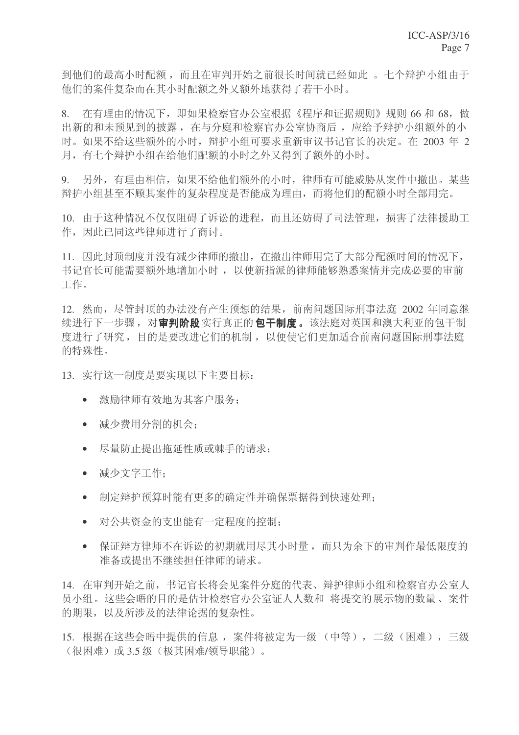到他们的最高小时配额,而且在审判开始之前很长时间就已经如此。七个辩护小组由于 他们的案件复杂而在其小时配额之外又额外地获得了若干小时。

8. 在有理由的情况下,即如果检察官办公室根据《程序和证据规则》规则 66 和 68,做 出新的和未预见到的披露, 在与分庭和检察官办公室协商后, 应给予辩护小组额外的小 时。如果不给这些额外的小时,辩护小组可要求重新审议书记官长的决定。在 2003 年 2 月, 有七个辩护小组在给他们配额的小时之外又得到了额外的小时。

9. 另外,有理由相信,如果不给他们额外的小时,律师有可能威胁从案件中撤出。某些 辩护小组甚至不顾其案件的复杂程度是否能成为理由,而将他们的配额小时全部用完。

10. 由于这种情况不仅仅阻碍了诉讼的进程,而且还妨碍了司法管理,损害了法律援助工 作,因此已同这些律师进行了商讨。

11. 因此封顶制度并没有减少律师的撤出, 在撤出律师用完了大部分配额时间的情况下, 书记官长可能需要额外地增加小时, 以使新指派的律师能够熟悉案情并完成必要的审前 工作。

12. 然而, 尽管封顶的办法没有产生预想的结果, 前南问题国际刑事法庭 2002 年同意继 续讲行下一步骤, 对**宙判阶段**实行真正的包干制度。该法庭对英国和澳大利亚的包干制 度进行了研究, 目的是要改进它们的机制, 以便使它们更加适合前南问题国际刑事法庭 的特殊性。

13. 实行这一制度是要实现以下主要目标:

- 激励律师有效地为其客户服务:
- 减少费用分割的机会;
- 尽量防止提出拖延性质或棘手的请求:
- 减少文字工作:
- 制定辩护预算时能有更多的确定性并确保票据得到快速处理:
- 对公共资金的支出能有一定程度的控制:
- 保证辩方律师不在诉讼的初期就用尽其小时量,而只为余下的审判作最低限度的 准备或提出不继续担任律师的请求。

14. 在审判开始之前, 书记官长将会见案件分庭的代表、辩护律师小组和检察官办公室人 员小组。这些会晤的目的是估计检察官办公室证人人数和 将提交的展示物的数量、案件 的期限,以及所涉及的法律论据的复杂性。

15. 根据在这些会晤中提供的信息, 案件将被定为一级 (中等), 二级 (困难), 三级 (很困难)或3.5级(极其困难/领导职能)。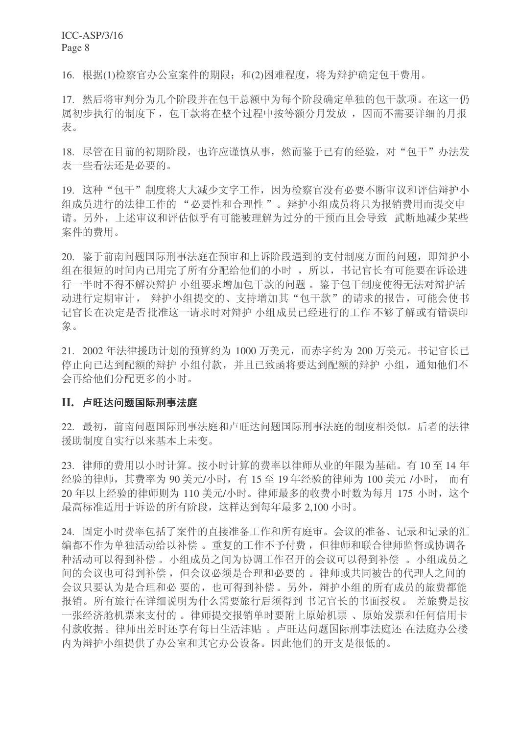16. 根据(1)检察官办公室案件的期限: 和(2)困难程度, 将为辩护确定包干费用。

17. 然后将审判分为几个阶段并在包干总额中为每个阶段确定单独的包干款项。在这一仍 属初步执行的制度下, 包干款将在整个过程中按等额分月发放, 因而不需要详细的月报 表。

18. 尽管在目前的初期阶段, 也许应谨慎从事, 然而鉴于已有的经验, 对"包干"办法发 表一些看法还是必要的。

19. 这种"包干"制度将大大减少文字工作,因为检察官没有必要不断审议和评估辩护小 组成员进行的法律工作的"必要性和合理性"。辩护小组成员将只为报销费用而提交申 请。另外,上述审议和评估似乎有可能被理解为过分的干预而且会导致。武断地减少某些 案件的费用。

20. 鉴于前南问题国际刑事法庭在预审和上诉阶段遇到的支付制度方面的问题, 即辩护小 组在很短的时间内已用完了所有分配给他们的小时,所以,书记官长有可能要在诉讼进 行一半时不得不解决辩护 小组要求增加包干款的问题。 鉴于包干制度使得无法对辩护活 动进行定期审计, 辩护小组提交的、支持增加其"包干款"的请求的报告, 可能会使书 记官长在决定是否批准这一请求时对辩护 小组成员已经进行的工作 不够了解或有错误印 象。

21. 2002 年法律援助计划的预算约为 1000 万美元, 而赤字约为 200 万美元。书记官长已 停止向已达到配额的辩护 小组付款,并且已致函将要达到配额的辩护 小组,通知他们不 会再给他们分配更多的小时。

#### II. 卢旺达问题国际刑事法庭

22. 最初, 前南问题国际刑事法庭和卢旺达问题国际刑事法庭的制度相类似。后者的法律 援助制度自实行以来基本上未变。

23. 律师的费用以小时计算。按小时计算的费率以律师从业的年限为基础。有10至14年 经验的律师, 其费率为 90 美元/小时, 有 15 至 19 年经验的律师为 100 美元 /小时, 而有 20 年以上经验的律师则为 110 美元/小时。律师最多的收费小时数为每月 175 小时, 这个 最高标准适用于诉讼的所有阶段,这样达到每年最多 2,100 小时。

24. 固定小时费率包括了案件的直接准备工作和所有庭审。会议的准备、记录和记录的汇 编都不作为单独活动给以补偿。 重复的工作不予付费, 但律师和联合律师监督或协调各 种活动可以得到补偿。小组成员之间为协调工作召开的会议可以得到补偿。小组成员之 间的会议也可得到补偿, 但会议必须是合理和必要的。律师或共同被告的代理人之间的 会议只要认为是合理和必要的,也可得到补偿。另外,辩护小组的所有成员的旅费都能 报销。所有旅行在详细说明为什么需要旅行后须得到书记官长的书面授权。 差旅费是按 一张经济舱机票来支付的。律师提交报销单时要附上原始机票、原始发票和任何信用卡 付款收据。律师出差时还享有每日生活津贴。卢旺达问题国际刑事法庭还 在法庭办公楼 内为辩护小组提供了办公室和其它办公设备。因此他们的开支是很低的。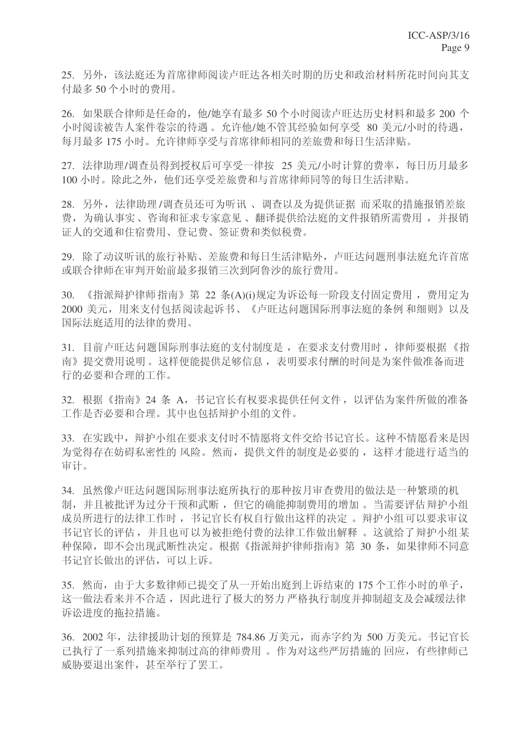25. 另外,该法庭还为首席律师阅读卢旺达各相关时期的历史和政治材料所花时间向其支 付最多50个小时的费用。

26. 如果联合律师是任命的, 他/她享有最多 50 个小时阅读卢旺达历史材料和最多 200 个 小时阅读被告人案件卷宗的待遇。允许他/她不管其经验如何享受 80 美元/小时的待遇, 每月最多175 小时。允许律师享受与首席律师相同的差旅费和每日生活津贴。

27. 法律助理/调查员得到授权后可享受一律按 25 美元/小时计算的费率, 每日历月最多 100 小时。除此之外, 他们还享受差旅费和与首席律师同等的每日生活津贴。

28. 另外, 法律助理/调查员还可为听讯、调查以及为提供证据而采取的措施报销差旅 费, 为确认事实、咨询和征求专家意见、翻译提供给法庭的文件报销所需费用, 并报销 证人的交通和住宿费用、登记费、签证费和类似税费。

29. 除了动议听讯的旅行补贴、差旅费和每日生活津贴外, 卢旺达问题刑事法庭允许首席 或联合律师在审判开始前最多报销三次到阿鲁沙的旅行费用。

30. 《指派辩护律师指南》第 22 条(A)(i)规定为诉讼每一阶段支付固定费用, 费用定为 2000 美元, 用来支付包括阅读起诉书、《卢旺达问题国际刑事法庭的条例 和细则》以及 国际法庭用的法律的费用。

31. 目前卢旺达问题国际刑事法庭的支付制度是, 在要求支付费用时, 律师要根据《指 南》提交费用说明。这样便能提供足够信息,表明要求付酬的时间是为案件做准备而进 行的必要和合理的工作。

32. 根据《指南》24 条 A, 书记官长有权要求提供任何文件, 以评估为案件所做的准备 工作是否必要和合理。其中也包括辩护小组的文件。

33. 在实践中, 辩护小组在要求支付时不情愿将文件交给书记官长。这种不情愿看来是因 为觉得存在妨碍私密性的 风险。然而, 提供文件的制度是必要的, 这样才能进行适当的 审计。

34. 虽然像卢旺达问题国际刑事法庭所执行的那种按月审查费用的做法是一种繁琐的机 制,并且被批评为过分干预和武断,但它的确能抑制费用的增加。当需要评估辩护小组 成员所进行的法律工作时, 书记官长有权自行做出这样的决定。辩护小组可以要求审议 书记官长的评估, 并且也可以为被拒绝付费的法律工作做出解释。这就给了辩护小组某 种保障, 即不会出现武断性决定。根据《指派辩护律师指南》第 30 条, 如果律师不同意 书记官长做出的评估,可以上诉。

35. 然而,由于大多数律师已提交了从一开始出庭到上诉结束的 175 个工作小时的单子, 这一做法看来并不合适,因此进行了极大的努力严格执行制度并抑制超支及会减缓法律 诉讼讲度的拖拉措施。

36. 2002 年, 法律援助计划的预算是 784.86 万美元, 而赤字约为 500 万美元。书记官长 已执行了一系列措施来抑制过高的律师费用。作为对这些严厉措施的回应,有些律师已 威胁要退出案件, 甚至举行了罢工。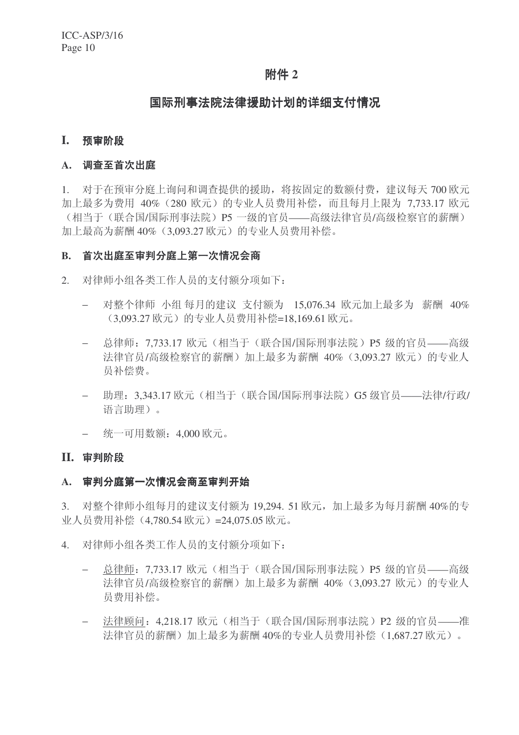## 附件 2

## 国际刑事法院法律援助计划的详细支付情况

#### **I.** 预审阶段

#### A. 调查至首次出庭

1. 对于在预审分庭上询问和调查提供的援助, 将按固定的数额付费, 建议每天 700 欧元 加上最多为费用 40% (280 欧元)的专业人员费用补偿,而且每月上限为 7.733.17 欧元 (相当于(联合国/国际刑事法院)P5 一级的官员——高级法律官员/高级检察官的薪酬) 加上最高为薪酬 40% (3,093.27 欧元) 的专业人员费用补偿。

#### B. 首次出庭至审判分庭上第一次情况会商

- 2. 对律师小组各类工作人员的支付额分项如下:
	- 对整个律师 小组每月的建议 支付额为 15,076.34 欧元加上最多为 薪酬 40% (3,093.27 欧元)的专业人员费用补偿=18,169.61 欧元。
	- 总律师: 7,733.17 欧元(相当于(联合国/国际刑事法院) P5 级的官员——高级 法律官员/高级检察官的薪酬)加上最多为薪酬 40% (3,093.27 欧元) 的专业人 员补偿费。
	- − 助理: 3,343.17 欧元 (相当于 (联合国/国际刑事法院) G5 级官员——法律/行政/ 语言助理)。
	- − 统一可用数额: 4,000 欧元。

#### **II.** 审判阶段

#### A. 审判分庭第一次情况会商至审判开始

3. 对整个律师小组每月的建议支付额为 19,294. 51 欧元, 加上最多为每月薪酬 40%的专 业人员费用补偿 (4,780.54 欧元) =24,075.05 欧元。

- 4. 对律师小组各类工作人员的支付额分项如下:
	- 总律师: 7.733.17 欧元(相当于(联合国/国际刑事法院) P5 级的官员——高级 法律官员/高级检察官的薪酬)加上最多为薪酬 40% (3,093.27 欧元)的专业人 员费用补偿。
	- 法律顾问: 4,218.17 欧元(相当于(联合国/国际刑事法院) P2 级的官员——准 法律官员的薪酬)加上最多为薪酬 40%的专业人员费用补偿 (1.687.27 欧元)。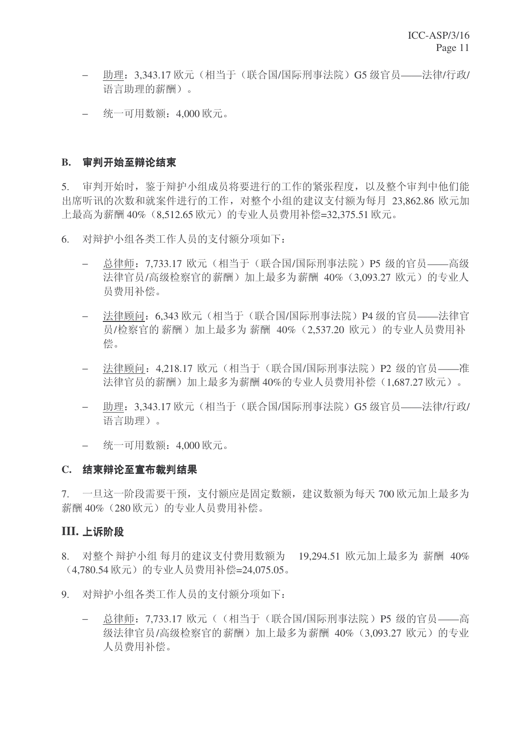- 助理: 3,343.17 欧元 (相当于 (联合国/国际刑事法院) G5 级官员——法律/行政/ 语言助理的薪酬)。
- − 统一可用数额: 4,000 欧元。

#### B. 审判开始至辩论结束

5. 审判开始时, 鉴于辩护小组成员将要讲行的工作的紧张程度, 以及整个审判中他们能 出席听讯的次数和就案件进行的工作,对整个小组的建议支付额为每月 23,862.86 欧元加 上最高为薪酬 40% (8,512.65 欧元) 的专业人员费用补偿=32,375.51 欧元。

6. 对辩护小组各类工作人员的支付额分项如下:

- 总律师: 7,733.17 欧元(相当于(联合国/国际刑事法院) P5 级的官员——高级 法律官员/高级检察官的薪酬)加上最多为薪酬 40% (3,093.27 欧元) 的专业人 员费用补偿。
- 法律顾问: 6.343 欧元(相当于(联合国/国际刑事法院) P4 级的官员——法律官 员/检察官的薪酬)加上最多为薪酬 40% (2.537.20 欧元) 的专业人员费用补 偿。
- 法律顾问: 4,218.17 欧元(相当于(联合国/国际刑事法院) P2 级的官员——准 法律官员的薪酬)加上最多为薪酬 40%的专业人员费用补偿(1,687.27 欧元)。
- 助理: 3.343.17 欧元 (相当于 (联合国/国际刑事法院) G5 级官员——法律/行政/ 语言助理)。
- − 统一可用数额: 4,000 欧元。

#### C. 结束辩论至宣布裁判结果

7. 一旦这一阶段需要干预, 支付额应是固定数额, 建议数额为每天 700 欧元加上最多为 薪酬 40% (280 欧元)的专业人员费用补偿。

#### **III. 上诉阶段**

8. 对整个辩护小组每月的建议支付费用数额为 19.294.51 欧元加上最多为 薪酬 40% (4,780.54 欧元)的专业人员费用补偿=24,075.05。

- 9. 对辩护小组各类工作人员的支付额分项如下:
	- 总律师: 7,733.17 欧元 ( (相当于 (联合国/国际刑事法院) P5 级的官员——高 级法律官员/高级检察官的薪酬)加上最多为薪酬 40% (3,093.27 欧元) 的专业 人员费用补偿。